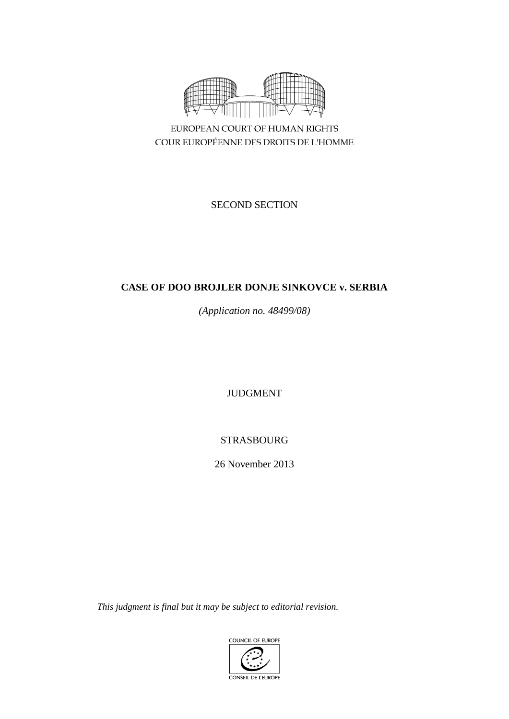

EUROPEAN COURT OF HUMAN RIGHTS COUR EUROPÉENNE DES DROITS DE L'HOMME

SECOND SECTION

# **CASE OF DOO BROJLER DONJE SINKOVCE v. SERBIA**

*(Application no. 48499/08)*

JUDGMENT

STRASBOURG

26 November 2013

*This judgment is final but it may be subject to editorial revision.*

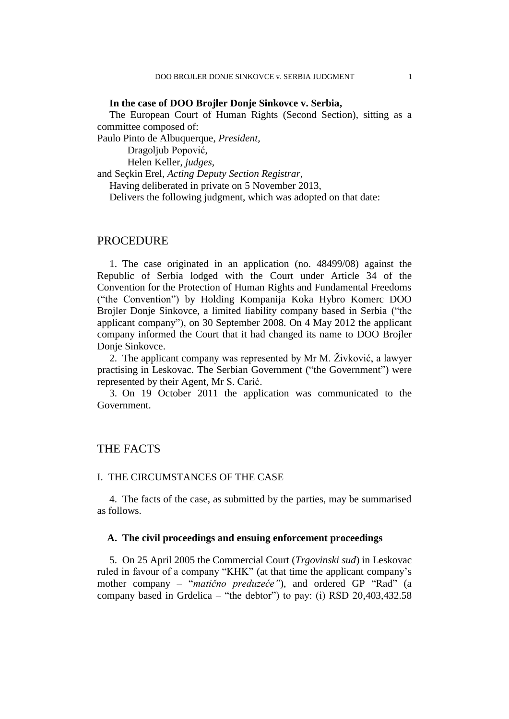## **In the case of DOO Brojler Donje Sinkovce v. Serbia,**

The European Court of Human Rights (Second Section), sitting as a committee composed of:

Paulo Pinto de Albuquerque, *President,*

Dragoljub Popović,

Helen Keller, *judges,*

and Seçkin Erel, *Acting Deputy Section Registrar,*

Having deliberated in private on 5 November 2013,

Delivers the following judgment, which was adopted on that date:

## PROCEDURE

1. The case originated in an application (no. 48499/08) against the Republic of Serbia lodged with the Court under Article 34 of the Convention for the Protection of Human Rights and Fundamental Freedoms ("the Convention") by Holding Kompanija Koka Hybro Komerc DOO Brojler Donje Sinkovce, a limited liability company based in Serbia ("the applicant company"), on 30 September 2008. On 4 May 2012 the applicant company informed the Court that it had changed its name to DOO Brojler Donje Sinkovce.

2. The applicant company was represented by Mr M. Živković, a lawyer practising in Leskovac. The Serbian Government ("the Government") were represented by their Agent, Mr S. Carić.

3. On 19 October 2011 the application was communicated to the Government.

## THE FACTS

## I. THE CIRCUMSTANCES OF THE CASE

4. The facts of the case, as submitted by the parties, may be summarised as follows.

## **A. The civil proceedings and ensuing enforcement proceedings**

5. On 25 April 2005 the Commercial Court (*Trgovinski sud*) in Leskovac ruled in favour of a company "KHK" (at that time the applicant company's mother company – "*matično preduzeće"*), and ordered GP "Rad" (a company based in Grdelica – "the debtor") to pay: (i) RSD 20,403,432.58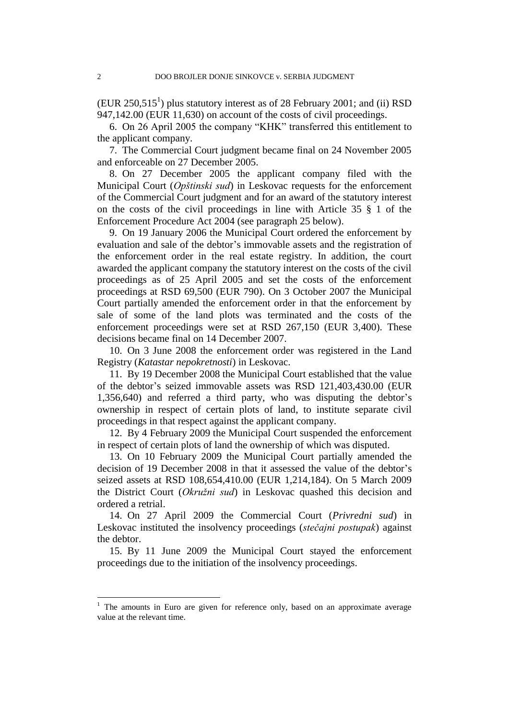$(EUR 250, 515<sup>1</sup>)$  plus statutory interest as of 28 February 2001; and (ii) RSD 947,142.00 (EUR 11,630) on account of the costs of civil proceedings.

6. On 26 April 2005 the company "KHK" transferred this entitlement to the applicant company.

7. The Commercial Court judgment became final on 24 November 2005 and enforceable on 27 December 2005.

8. On 27 December 2005 the applicant company filed with the Municipal Court (*Opštinski sud*) in Leskovac requests for the enforcement of the Commercial Court judgment and for an award of the statutory interest on the costs of the civil proceedings in line with Article 35 § 1 of the Enforcement Procedure Act 2004 (see paragraph 25 below).

9. On 19 January 2006 the Municipal Court ordered the enforcement by evaluation and sale of the debtor's immovable assets and the registration of the enforcement order in the real estate registry. In addition, the court awarded the applicant company the statutory interest on the costs of the civil proceedings as of 25 April 2005 and set the costs of the enforcement proceedings at RSD 69,500 (EUR 790). On 3 October 2007 the Municipal Court partially amended the enforcement order in that the enforcement by sale of some of the land plots was terminated and the costs of the enforcement proceedings were set at RSD 267,150 (EUR 3,400). These decisions became final on 14 December 2007.

10. On 3 June 2008 the enforcement order was registered in the Land Registry (*Katastar nepokretnosti*) in Leskovac.

11. By 19 December 2008 the Municipal Court established that the value of the debtor's seized immovable assets was RSD 121,403,430.00 (EUR 1,356,640) and referred a third party, who was disputing the debtor's ownership in respect of certain plots of land, to institute separate civil proceedings in that respect against the applicant company.

12. By 4 February 2009 the Municipal Court suspended the enforcement in respect of certain plots of land the ownership of which was disputed.

13. On 10 February 2009 the Municipal Court partially amended the decision of 19 December 2008 in that it assessed the value of the debtor's seized assets at RSD 108,654,410.00 (EUR 1,214,184). On 5 March 2009 the District Court (*Okružni sud*) in Leskovac quashed this decision and ordered a retrial.

14. On 27 April 2009 the Commercial Court (*Privredni sud*) in Leskovac instituted the insolvency proceedings (*stečajni postupak*) against the debtor.

15. By 11 June 2009 the Municipal Court stayed the enforcement proceedings due to the initiation of the insolvency proceedings.

 $\overline{a}$ 

<sup>&</sup>lt;sup>1</sup> The amounts in Euro are given for reference only, based on an approximate average value at the relevant time.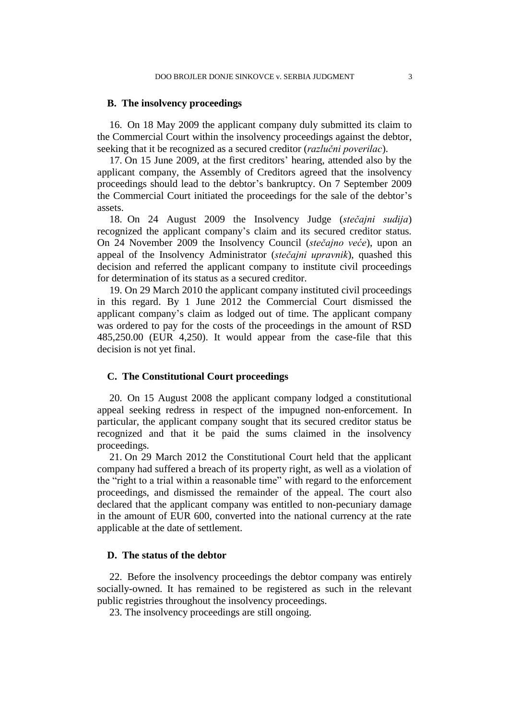### **B. The insolvency proceedings**

16. On 18 May 2009 the applicant company duly submitted its claim to the Commercial Court within the insolvency proceedings against the debtor, seeking that it be recognized as a secured creditor (*razlučni poverilac*).

17. On 15 June 2009, at the first creditors' hearing, attended also by the applicant company, the Assembly of Creditors agreed that the insolvency proceedings should lead to the debtor's bankruptcy. On 7 September 2009 the Commercial Court initiated the proceedings for the sale of the debtor's assets.

18. On 24 August 2009 the Insolvency Judge (*stečajni sudija*) recognized the applicant company's claim and its secured creditor status. On 24 November 2009 the Insolvency Council (*stečajno veće*), upon an appeal of the Insolvency Administrator (*stečajni upravnik*), quashed this decision and referred the applicant company to institute civil proceedings for determination of its status as a secured creditor.

19. On 29 March 2010 the applicant company instituted civil proceedings in this regard. By 1 June 2012 the Commercial Court dismissed the applicant company's claim as lodged out of time. The applicant company was ordered to pay for the costs of the proceedings in the amount of RSD 485,250.00 (EUR 4,250). It would appear from the case-file that this decision is not yet final.

#### **C. The Constitutional Court proceedings**

20. On 15 August 2008 the applicant company lodged a constitutional appeal seeking redress in respect of the impugned non-enforcement. In particular, the applicant company sought that its secured creditor status be recognized and that it be paid the sums claimed in the insolvency proceedings.

21. On 29 March 2012 the Constitutional Court held that the applicant company had suffered a breach of its property right, as well as a violation of the "right to a trial within a reasonable time" with regard to the enforcement proceedings, and dismissed the remainder of the appeal. The court also declared that the applicant company was entitled to non-pecuniary damage in the amount of EUR 600, converted into the national currency at the rate applicable at the date of settlement.

### **D. The status of the debtor**

22. Before the insolvency proceedings the debtor company was entirely socially-owned. It has remained to be registered as such in the relevant public registries throughout the insolvency proceedings.

23. The insolvency proceedings are still ongoing.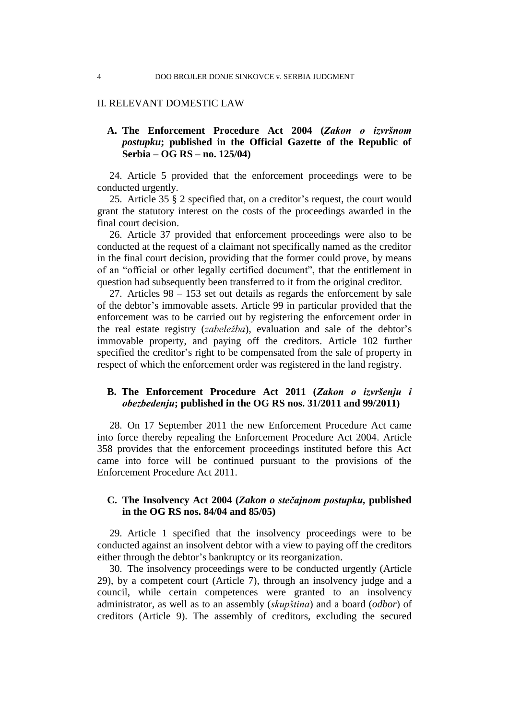## II. RELEVANT DOMESTIC LAW

## **A. The Enforcement Procedure Act 2004 (***Zakon o izvršnom postupku***; published in the Official Gazette of the Republic of Serbia – OG RS – no. 125/04)**

24. Article 5 provided that the enforcement proceedings were to be conducted urgently.

25. Article 35 § 2 specified that, on a creditor's request, the court would grant the statutory interest on the costs of the proceedings awarded in the final court decision.

26. Article 37 provided that enforcement proceedings were also to be conducted at the request of a claimant not specifically named as the creditor in the final court decision, providing that the former could prove, by means of an "official or other legally certified document", that the entitlement in question had subsequently been transferred to it from the original creditor.

27. Articles 98 – 153 set out details as regards the enforcement by sale of the debtor's immovable assets. Article 99 in particular provided that the enforcement was to be carried out by registering the enforcement order in the real estate registry (*zabeležba*), evaluation and sale of the debtor's immovable property, and paying off the creditors. Article 102 further specified the creditor's right to be compensated from the sale of property in respect of which the enforcement order was registered in the land registry.

## **B. The Enforcement Procedure Act 2011 (***Zakon o izvršenju i obezbeđenju***; published in the OG RS nos. 31/2011 and 99/2011)**

28. On 17 September 2011 the new Enforcement Procedure Act came into force thereby repealing the Enforcement Procedure Act 2004. Article 358 provides that the enforcement proceedings instituted before this Act came into force will be continued pursuant to the provisions of the Enforcement Procedure Act 2011.

## **C. The Insolvency Act 2004 (***Zakon o stečajnom postupku,* **published in the OG RS nos. 84/04 and 85/05)**

29. Article 1 specified that the insolvency proceedings were to be conducted against an insolvent debtor with a view to paying off the creditors either through the debtor's bankruptcy or its reorganization.

30. The insolvency proceedings were to be conducted urgently (Article 29), by a competent court (Article 7), through an insolvency judge and a council, while certain competences were granted to an insolvency administrator, as well as to an assembly (*skupština*) and a board (*odbor*) of creditors (Article 9). The assembly of creditors, excluding the secured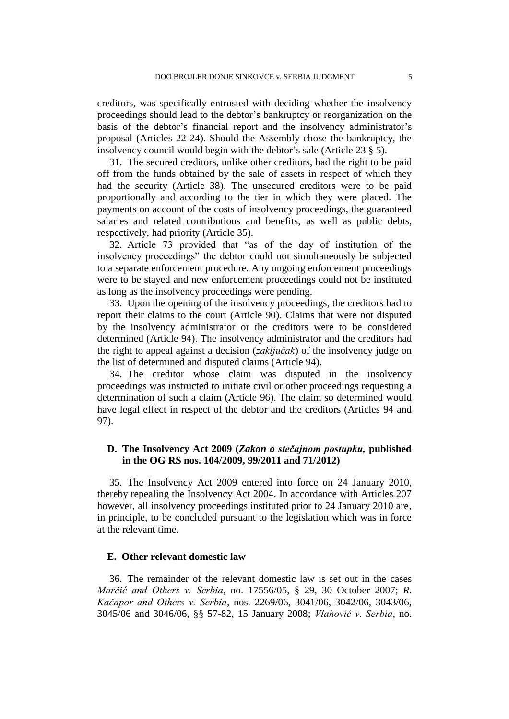creditors, was specifically entrusted with deciding whether the insolvency proceedings should lead to the debtor's bankruptcy or reorganization on the basis of the debtor's financial report and the insolvency administrator's proposal (Articles 22-24). Should the Assembly chose the bankruptcy, the insolvency council would begin with the debtor's sale (Article 23 § 5).

31. The secured creditors, unlike other creditors, had the right to be paid off from the funds obtained by the sale of assets in respect of which they had the security (Article 38). The unsecured creditors were to be paid proportionally and according to the tier in which they were placed. The payments on account of the costs of insolvency proceedings, the guaranteed salaries and related contributions and benefits, as well as public debts, respectively, had priority (Article 35).

32. Article 73 provided that "as of the day of institution of the insolvency proceedings" the debtor could not simultaneously be subjected to a separate enforcement procedure. Any ongoing enforcement proceedings were to be stayed and new enforcement proceedings could not be instituted as long as the insolvency proceedings were pending.

33. Upon the opening of the insolvency proceedings, the creditors had to report their claims to the court (Article 90). Claims that were not disputed by the insolvency administrator or the creditors were to be considered determined (Article 94). The insolvency administrator and the creditors had the right to appeal against a decision (*zaključak*) of the insolvency judge on the list of determined and disputed claims (Article 94).

34. The creditor whose claim was disputed in the insolvency proceedings was instructed to initiate civil or other proceedings requesting a determination of such a claim (Article 96). The claim so determined would have legal effect in respect of the debtor and the creditors (Articles 94 and 97).

## **D. The Insolvency Act 2009 (***Zakon o stečajnom postupku,* **published in the OG RS nos. 104/2009, 99/2011 and 71/2012)**

35*.* The Insolvency Act 2009 entered into force on 24 January 2010, thereby repealing the Insolvency Act 2004. In accordance with Articles 207 however, all insolvency proceedings instituted prior to 24 January 2010 are, in principle, to be concluded pursuant to the legislation which was in force at the relevant time.

## **E. Other relevant domestic law**

36. The remainder of the relevant domestic law is set out in the cases *Marčić and Others v. Serbia,* no. 17556/05, § 29, 30 October 2007; *R. Kačapor and Others v. Serbia*, nos. 2269/06, 3041/06, 3042/06, 3043/06, 3045/06 and 3046/06, §§ 57-82, 15 January 2008; *Vlahović v. Serbia,* no.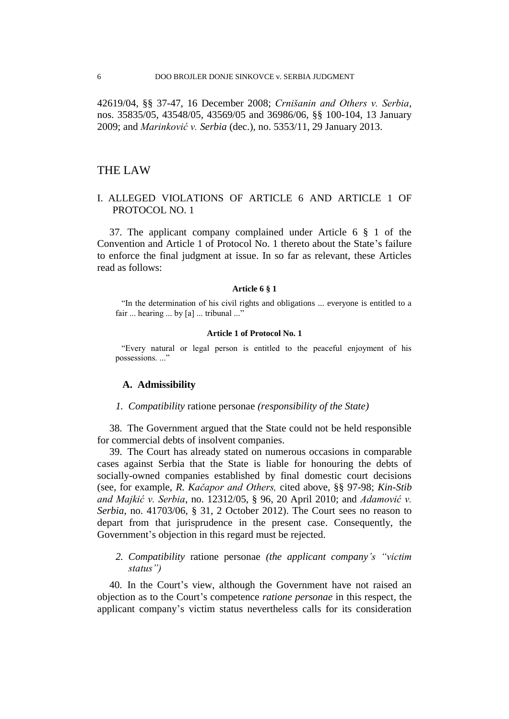42619/04, §§ 37-47, 16 December 2008; *Crnišanin and Others v. Serbia,* nos. 35835/05, 43548/05, 43569/05 and 36986/06, §§ 100-104, 13 January 2009; and *Marinković v. Serbia* (dec.), no. 5353/11, 29 January 2013.

## THE LAW

## I. ALLEGED VIOLATIONS OF ARTICLE 6 AND ARTICLE 1 OF PROTOCOL NO. 1

37. The applicant company complained under Article 6 § 1 of the Convention and Article 1 of Protocol No. 1 thereto about the State's failure to enforce the final judgment at issue. In so far as relevant, these Articles read as follows:

#### **Article 6 § 1**

"In the determination of his civil rights and obligations ... everyone is entitled to a fair ... hearing ... by [a] ... tribunal ..."

#### **Article 1 of Protocol No. 1**

"Every natural or legal person is entitled to the peaceful enjoyment of his possessions. ..."

#### **A. Admissibility**

## *1. Compatibility* ratione personae *(responsibility of the State)*

38. The Government argued that the State could not be held responsible for commercial debts of insolvent companies.

39. The Court has already stated on numerous occasions in comparable cases against Serbia that the State is liable for honouring the debts of socially-owned companies established by final domestic court decisions (see, for example, *R. Kačapor and Others,* cited above*,* §§ 97-98; *Kin-Stib and Majkić v. Serbia*, no. 12312/05, § 96, 20 April 2010; and *Adamović v. Serbia*, no. 41703/06, § 31, 2 October 2012). The Court sees no reason to depart from that jurisprudence in the present case. Consequently, the Government's objection in this regard must be rejected.

*2. Compatibility* ratione personae *(the applicant company's "victim status")*

40. In the Court's view, although the Government have not raised an objection as to the Court's competence *ratione personae* in this respect, the applicant company's victim status nevertheless calls for its consideration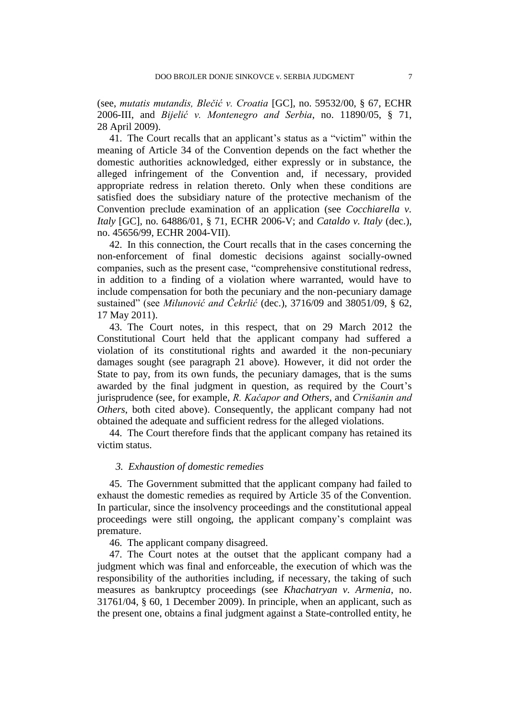(see, *mutatis mutandis, Blečić v. Croatia* [GC], no. 59532/00, § 67, ECHR 2006-III, and *Bijelić v. Montenegro and Serbia*, no. 11890/05, § 71, 28 April 2009).

41. The Court recalls that an applicant's status as a "victim" within the meaning of Article 34 of the Convention depends on the fact whether the domestic authorities acknowledged, either expressly or in substance, the alleged infringement of the Convention and, if necessary, provided appropriate redress in relation thereto. Only when these conditions are satisfied does the subsidiary nature of the protective mechanism of the Convention preclude examination of an application (see *Cocchiarella v. Italy* [GC], no. 64886/01, § 71, ECHR 2006-V; and *Cataldo v. Italy* (dec.), no. 45656/99, ECHR 2004-VII).

42. In this connection, the Court recalls that in the cases concerning the non-enforcement of final domestic decisions against socially-owned companies, such as the present case, "comprehensive constitutional redress, in addition to a finding of a violation where warranted, would have to include compensation for both the pecuniary and the non-pecuniary damage sustained" (see *Milunović and Čekrlić* (dec.), 3716/09 and 38051/09, § 62, 17 May 2011).

43. The Court notes, in this respect, that on 29 March 2012 the Constitutional Court held that the applicant company had suffered a violation of its constitutional rights and awarded it the non-pecuniary damages sought (see paragraph 21 above). However, it did not order the State to pay, from its own funds, the pecuniary damages, that is the sums awarded by the final judgment in question, as required by the Court's jurisprudence (see, for example, *R. Kačapor and Others*, and *Crnišanin and Others*, both cited above). Consequently, the applicant company had not obtained the adequate and sufficient redress for the alleged violations.

44. The Court therefore finds that the applicant company has retained its victim status.

## *3. Exhaustion of domestic remedies*

45. The Government submitted that the applicant company had failed to exhaust the domestic remedies as required by Article 35 of the Convention. In particular, since the insolvency proceedings and the constitutional appeal proceedings were still ongoing, the applicant company's complaint was premature.

46. The applicant company disagreed.

47. The Court notes at the outset that the applicant company had a judgment which was final and enforceable, the execution of which was the responsibility of the authorities including, if necessary, the taking of such measures as bankruptcy proceedings (see *Khachatryan v. Armenia*, no. 31761/04, § 60, 1 December 2009). In principle, when an applicant, such as the present one, obtains a final judgment against a State-controlled entity, he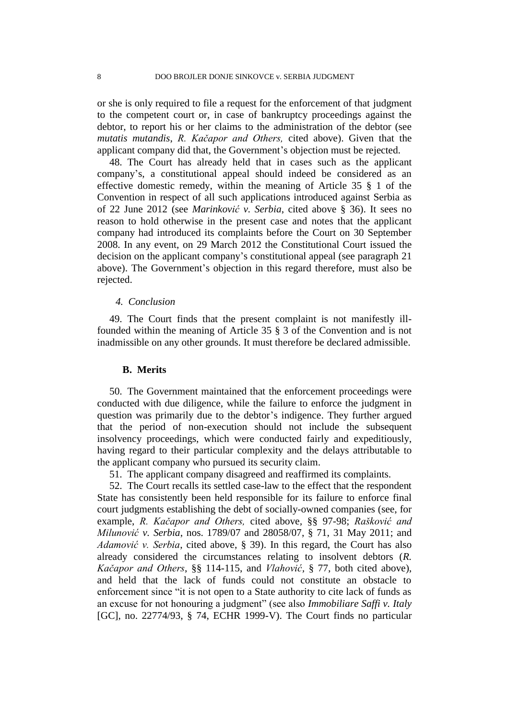or she is only required to file a request for the enforcement of that judgment to the competent court or, in case of bankruptcy proceedings against the debtor, to report his or her claims to the administration of the debtor (see *mutatis mutandis*, *R. Kačapor and Others,* cited above). Given that the applicant company did that, the Government's objection must be rejected.

48. The Court has already held that in cases such as the applicant company's, a constitutional appeal should indeed be considered as an effective domestic remedy, within the meaning of Article 35 § 1 of the Convention in respect of all such applications introduced against Serbia as of 22 June 2012 (see *Marinković v. Serbia*, cited above § 36). It sees no reason to hold otherwise in the present case and notes that the applicant company had introduced its complaints before the Court on 30 September 2008. In any event, on 29 March 2012 the Constitutional Court issued the decision on the applicant company's constitutional appeal (see paragraph 21 above). The Government's objection in this regard therefore, must also be rejected.

#### *4. Conclusion*

49. The Court finds that the present complaint is not manifestly illfounded within the meaning of Article 35 § 3 of the Convention and is not inadmissible on any other grounds. It must therefore be declared admissible.

#### **B. Merits**

50. The Government maintained that the enforcement proceedings were conducted with due diligence, while the failure to enforce the judgment in question was primarily due to the debtor's indigence. They further argued that the period of non-execution should not include the subsequent insolvency proceedings, which were conducted fairly and expeditiously, having regard to their particular complexity and the delays attributable to the applicant company who pursued its security claim.

51. The applicant company disagreed and reaffirmed its complaints.

52. The Court recalls its settled case-law to the effect that the respondent State has consistently been held responsible for its failure to enforce final court judgments establishing the debt of socially-owned companies (see, for example, *R. Kačapor and Others,* cited above*,* §§ 97-98; *Rašković and Milunović v. Serbia*, nos. 1789/07 and 28058/07, § 71, 31 May 2011; and *Adamović v. Serbia*, cited above, § 39). In this regard, the Court has also already considered the circumstances relating to insolvent debtors (*R. Kačapor and Others*, §§ 114-115, and *Vlahović,* § 77, both cited above), and held that the lack of funds could not constitute an obstacle to enforcement since "it is not open to a State authority to cite lack of funds as an excuse for not honouring a judgment" (see also *Immobiliare Saffi v. Italy* [GC], no. 22774/93, § 74, ECHR 1999-V). The Court finds no particular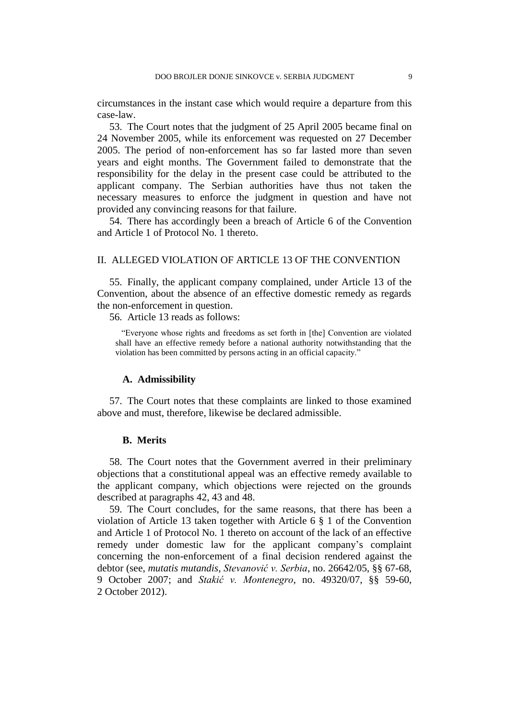circumstances in the instant case which would require a departure from this case-law.

53. The Court notes that the judgment of 25 April 2005 became final on 24 November 2005, while its enforcement was requested on 27 December 2005. The period of non-enforcement has so far lasted more than seven years and eight months. The Government failed to demonstrate that the responsibility for the delay in the present case could be attributed to the applicant company. The Serbian authorities have thus not taken the necessary measures to enforce the judgment in question and have not provided any convincing reasons for that failure.

54. There has accordingly been a breach of Article 6 of the Convention and Article 1 of Protocol No. 1 thereto.

## II. ALLEGED VIOLATION OF ARTICLE 13 OF THE CONVENTION

55. Finally, the applicant company complained, under Article 13 of the Convention, about the absence of an effective domestic remedy as regards the non-enforcement in question.

56. Article 13 reads as follows:

"Everyone whose rights and freedoms as set forth in [the] Convention are violated shall have an effective remedy before a national authority notwithstanding that the violation has been committed by persons acting in an official capacity."

#### **A. Admissibility**

57. The Court notes that these complaints are linked to those examined above and must, therefore, likewise be declared admissible.

#### **B. Merits**

58. The Court notes that the Government averred in their preliminary objections that a constitutional appeal was an effective remedy available to the applicant company, which objections were rejected on the grounds described at paragraphs 42, 43 and 48.

59. The Court concludes, for the same reasons, that there has been a violation of Article 13 taken together with Article 6 § 1 of the Convention and Article 1 of Protocol No. 1 thereto on account of the lack of an effective remedy under domestic law for the applicant company's complaint concerning the non-enforcement of a final decision rendered against the debtor (see, *mutatis mutandis*, *Stevanović v. Serbia*, no. 26642/05, §§ 67-68, 9 October 2007; and *Stakić v. Montenegro*, no. 49320/07, §§ 59-60, 2 October 2012).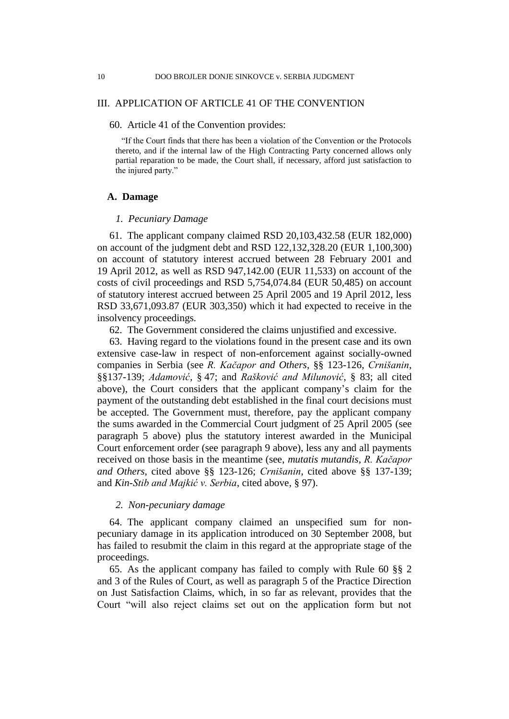## III. APPLICATION OF ARTICLE 41 OF THE CONVENTION

## 60. Article 41 of the Convention provides:

"If the Court finds that there has been a violation of the Convention or the Protocols thereto, and if the internal law of the High Contracting Party concerned allows only partial reparation to be made, the Court shall, if necessary, afford just satisfaction to the injured party."

## **A. Damage**

### *1. Pecuniary Damage*

61. The applicant company claimed RSD 20,103,432.58 (EUR 182,000) on account of the judgment debt and RSD 122,132,328.20 (EUR 1,100,300) on account of statutory interest accrued between 28 February 2001 and 19 April 2012, as well as RSD 947,142.00 (EUR 11,533) on account of the costs of civil proceedings and RSD 5,754,074.84 (EUR 50,485) on account of statutory interest accrued between 25 April 2005 and 19 April 2012, less RSD 33,671,093.87 (EUR 303,350) which it had expected to receive in the insolvency proceedings.

62. The Government considered the claims unjustified and excessive.

63. Having regard to the violations found in the present case and its own extensive case-law in respect of non-enforcement against socially-owned companies in Serbia (see *R. Kačapor and Others*, §§ 123-126, *Crnišanin*, §§137-139; *Adamović,* § 47; and *Rašković and Milunović*, § 83; all cited above), the Court considers that the applicant company's claim for the payment of the outstanding debt established in the final court decisions must be accepted. The Government must, therefore, pay the applicant company the sums awarded in the Commercial Court judgment of 25 April 2005 (see paragraph 5 above) plus the statutory interest awarded in the Municipal Court enforcement order (see paragraph 9 above), less any and all payments received on those basis in the meantime (see, *mutatis mutandis*, *R. Kačapor and Others*, cited above §§ 123-126; *Crnišanin*, cited above §§ 137-139; and *Kin-Stib and Majkić v. Serbia*, cited above, § 97).

#### *2. Non-pecuniary damage*

64. The applicant company claimed an unspecified sum for nonpecuniary damage in its application introduced on 30 September 2008, but has failed to resubmit the claim in this regard at the appropriate stage of the proceedings.

65. As the applicant company has failed to comply with Rule 60 §§ 2 and 3 of the Rules of Court, as well as paragraph 5 of the Practice Direction on Just Satisfaction Claims, which, in so far as relevant, provides that the Court "will also reject claims set out on the application form but not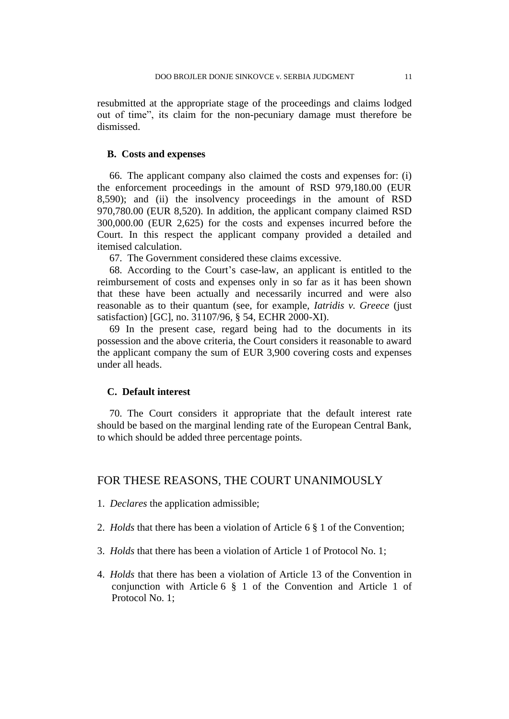resubmitted at the appropriate stage of the proceedings and claims lodged out of time", its claim for the non-pecuniary damage must therefore be dismissed.

#### **B. Costs and expenses**

66. The applicant company also claimed the costs and expenses for: (i) the enforcement proceedings in the amount of RSD 979,180.00 (EUR 8,590); and (ii) the insolvency proceedings in the amount of RSD 970,780.00 (EUR 8,520). In addition, the applicant company claimed RSD 300,000.00 (EUR 2,625) for the costs and expenses incurred before the Court. In this respect the applicant company provided a detailed and itemised calculation.

67. The Government considered these claims excessive.

68. According to the Court's case-law, an applicant is entitled to the reimbursement of costs and expenses only in so far as it has been shown that these have been actually and necessarily incurred and were also reasonable as to their quantum (see, for example, *Iatridis v. Greece* (just satisfaction) [GC], no. 31107/96, § 54, ECHR 2000-XI).

69 In the present case, regard being had to the documents in its possession and the above criteria, the Court considers it reasonable to award the applicant company the sum of EUR 3,900 covering costs and expenses under all heads.

### **C. Default interest**

70. The Court considers it appropriate that the default interest rate should be based on the marginal lending rate of the European Central Bank, to which should be added three percentage points.

## FOR THESE REASONS, THE COURT UNANIMOUSLY

- 1. *Declares* the application admissible;
- 2. *Holds* that there has been a violation of Article 6 § 1 of the Convention;
- 3. *Holds* that there has been a violation of Article 1 of Protocol No. 1;
- 4. *Holds* that there has been a violation of Article 13 of the Convention in conjunction with Article 6 § 1 of the Convention and Article 1 of Protocol No. 1;